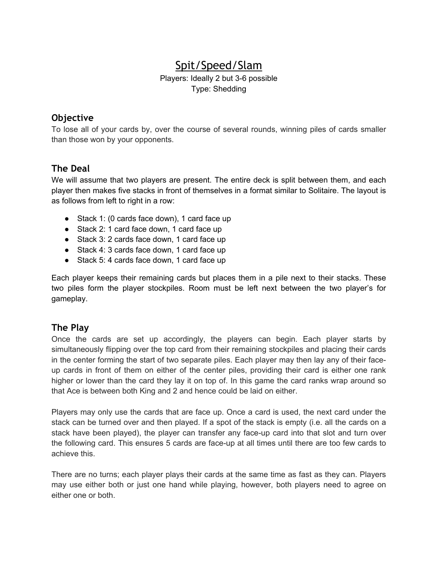# Spit/Speed/Slam

Players: Ideally 2 but 3-6 possible Type: Shedding

### **Objective**

To lose all of your cards by, over the course of several rounds, winning piles of cards smaller than those won by your opponents.

### **The Deal**

We will assume that two players are present. The entire deck is split between them, and each player then makes five stacks in front of themselves in a format similar to Solitaire. The layout is as follows from left to right in a row:

- Stack 1: (0 cards face down), 1 card face up
- Stack 2: 1 card face down, 1 card face up
- Stack 3: 2 cards face down, 1 card face up
- Stack 4: 3 cards face down, 1 card face up
- Stack 5: 4 cards face down, 1 card face up

Each player keeps their remaining cards but places them in a pile next to their stacks. These two piles form the player stockpiles. Room must be left next between the two player's for gameplay.

## **The Play**

Once the cards are set up accordingly, the players can begin. Each player starts by simultaneously flipping over the top card from their remaining stockpiles and placing their cards in the center forming the start of two separate piles. Each player may then lay any of their faceup cards in front of them on either of the center piles, providing their card is either one rank higher or lower than the card they lay it on top of. In this game the card ranks wrap around so that Ace is between both King and 2 and hence could be laid on either.

Players may only use the cards that are face up. Once a card is used, the next card under the stack can be turned over and then played. If a spot of the stack is empty (i.e. all the cards on a stack have been played), the player can transfer any face-up card into that slot and turn over the following card. This ensures 5 cards are face-up at all times until there are too few cards to achieve this.

There are no turns; each player plays their cards at the same time as fast as they can. Players may use either both or just one hand while playing, however, both players need to agree on either one or both.